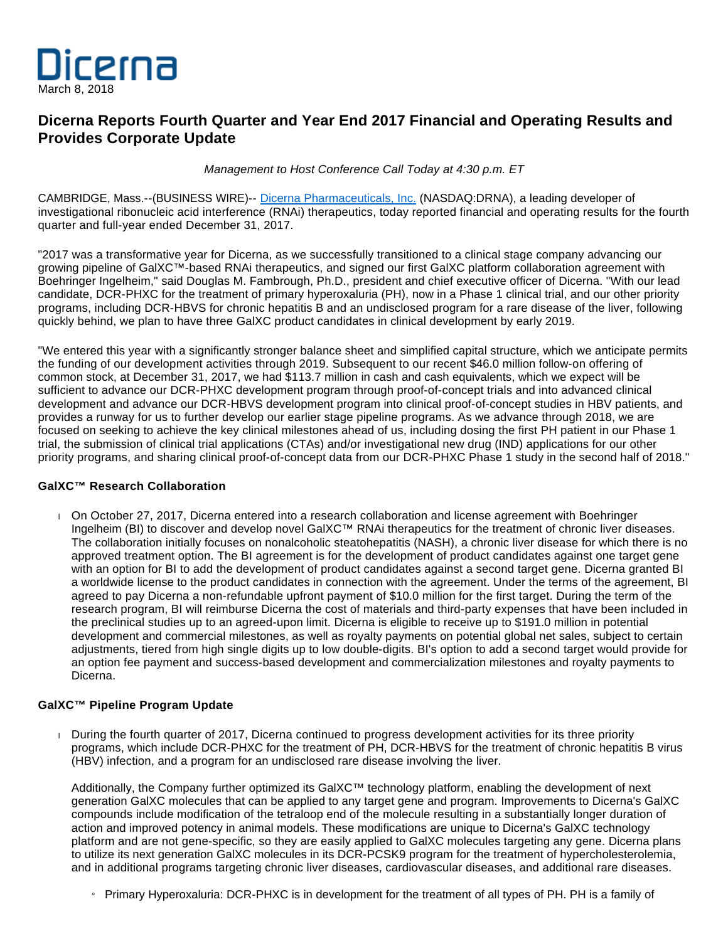

# **Dicerna Reports Fourth Quarter and Year End 2017 Financial and Operating Results and Provides Corporate Update**

Management to Host Conference Call Today at 4:30 p.m. ET

CAMBRIDGE, Mass.--(BUSINESS WIRE)-- [Dicerna Pharmaceuticals, Inc.](http://cts.businesswire.com/ct/CT?id=smartlink&url=http%3A%2F%2Fdicerna.com%2F&esheet=51770573&newsitemid=20180308006220&lan=en-US&anchor=Dicerna+Pharmaceuticals%2C+Inc.&index=1&md5=ca362a33a8bea03c2f3fd77af5501a9a) (NASDAQ:DRNA), a leading developer of investigational ribonucleic acid interference (RNAi) therapeutics, today reported financial and operating results for the fourth quarter and full-year ended December 31, 2017.

"2017 was a transformative year for Dicerna, as we successfully transitioned to a clinical stage company advancing our growing pipeline of GalXC™-based RNAi therapeutics, and signed our first GalXC platform collaboration agreement with Boehringer Ingelheim," said Douglas M. Fambrough, Ph.D., president and chief executive officer of Dicerna. "With our lead candidate, DCR-PHXC for the treatment of primary hyperoxaluria (PH), now in a Phase 1 clinical trial, and our other priority programs, including DCR-HBVS for chronic hepatitis B and an undisclosed program for a rare disease of the liver, following quickly behind, we plan to have three GalXC product candidates in clinical development by early 2019.

"We entered this year with a significantly stronger balance sheet and simplified capital structure, which we anticipate permits the funding of our development activities through 2019. Subsequent to our recent \$46.0 million follow-on offering of common stock, at December 31, 2017, we had \$113.7 million in cash and cash equivalents, which we expect will be sufficient to advance our DCR-PHXC development program through proof-of-concept trials and into advanced clinical development and advance our DCR-HBVS development program into clinical proof-of-concept studies in HBV patients, and provides a runway for us to further develop our earlier stage pipeline programs. As we advance through 2018, we are focused on seeking to achieve the key clinical milestones ahead of us, including dosing the first PH patient in our Phase 1 trial, the submission of clinical trial applications (CTAs) and/or investigational new drug (IND) applications for our other priority programs, and sharing clinical proof-of-concept data from our DCR-PHXC Phase 1 study in the second half of 2018."

#### **GalXC™ Research Collaboration**

 On October 27, 2017, Dicerna entered into a research collaboration and license agreement with Boehringer Ingelheim (BI) to discover and develop novel GalXC™ RNAi therapeutics for the treatment of chronic liver diseases. The collaboration initially focuses on nonalcoholic steatohepatitis (NASH), a chronic liver disease for which there is no approved treatment option. The BI agreement is for the development of product candidates against one target gene with an option for BI to add the development of product candidates against a second target gene. Dicerna granted BI a worldwide license to the product candidates in connection with the agreement. Under the terms of the agreement, BI agreed to pay Dicerna a non-refundable upfront payment of \$10.0 million for the first target. During the term of the research program, BI will reimburse Dicerna the cost of materials and third-party expenses that have been included in the preclinical studies up to an agreed-upon limit. Dicerna is eligible to receive up to \$191.0 million in potential development and commercial milestones, as well as royalty payments on potential global net sales, subject to certain adjustments, tiered from high single digits up to low double-digits. BI's option to add a second target would provide for an option fee payment and success-based development and commercialization milestones and royalty payments to Dicerna.

## **GalXC™ Pipeline Program Update**

 During the fourth quarter of 2017, Dicerna continued to progress development activities for its three priority programs, which include DCR-PHXC for the treatment of PH, DCR-HBVS for the treatment of chronic hepatitis B virus (HBV) infection, and a program for an undisclosed rare disease involving the liver.

Additionally, the Company further optimized its GalXC™ technology platform, enabling the development of next generation GalXC molecules that can be applied to any target gene and program. Improvements to Dicerna's GalXC compounds include modification of the tetraloop end of the molecule resulting in a substantially longer duration of action and improved potency in animal models. These modifications are unique to Dicerna's GalXC technology platform and are not gene-specific, so they are easily applied to GalXC molecules targeting any gene. Dicerna plans to utilize its next generation GalXC molecules in its DCR-PCSK9 program for the treatment of hypercholesterolemia, and in additional programs targeting chronic liver diseases, cardiovascular diseases, and additional rare diseases.

» Primary Hyperoxaluria: DCR-PHXC is in development for the treatment of all types of PH. PH is a family of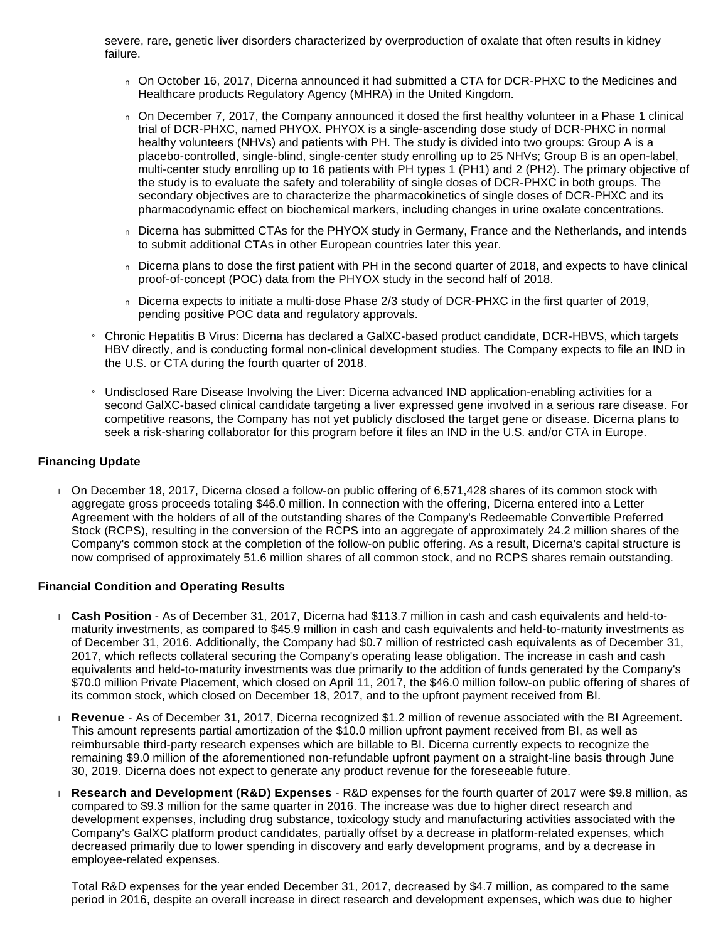severe, rare, genetic liver disorders characterized by overproduction of oxalate that often results in kidney failure.

- n On October 16, 2017, Dicerna announced it had submitted a CTA for DCR-PHXC to the Medicines and Healthcare products Regulatory Agency (MHRA) in the United Kingdom.
- $n$  On December 7, 2017, the Company announced it dosed the first healthy volunteer in a Phase 1 clinical trial of DCR-PHXC, named PHYOX. PHYOX is a single-ascending dose study of DCR-PHXC in normal healthy volunteers (NHVs) and patients with PH. The study is divided into two groups: Group A is a placebo-controlled, single-blind, single-center study enrolling up to 25 NHVs; Group B is an open-label, multi-center study enrolling up to 16 patients with PH types 1 (PH1) and 2 (PH2). The primary objective of the study is to evaluate the safety and tolerability of single doses of DCR-PHXC in both groups. The secondary objectives are to characterize the pharmacokinetics of single doses of DCR-PHXC and its pharmacodynamic effect on biochemical markers, including changes in urine oxalate concentrations.
- $n$  Dicerna has submitted CTAs for the PHYOX study in Germany, France and the Netherlands, and intends to submit additional CTAs in other European countries later this year.
- $n$  Dicerna plans to dose the first patient with PH in the second quarter of 2018, and expects to have clinical proof-of-concept (POC) data from the PHYOX study in the second half of 2018.
- $n$  Dicerna expects to initiate a multi-dose Phase 2/3 study of DCR-PHXC in the first quarter of 2019, pending positive POC data and regulatory approvals.
- » Chronic Hepatitis B Virus: Dicerna has declared a GalXC-based product candidate, DCR-HBVS, which targets HBV directly, and is conducting formal non-clinical development studies. The Company expects to file an IND in the U.S. or CTA during the fourth quarter of 2018.
- **Undisclosed Rare Disease Involving the Liver: Dicerna advanced IND application-enabling activities for a** second GalXC-based clinical candidate targeting a liver expressed gene involved in a serious rare disease. For competitive reasons, the Company has not yet publicly disclosed the target gene or disease. Dicerna plans to seek a risk-sharing collaborator for this program before it files an IND in the U.S. and/or CTA in Europe.

## **Financing Update**

 On December 18, 2017, Dicerna closed a follow-on public offering of 6,571,428 shares of its common stock with aggregate gross proceeds totaling \$46.0 million. In connection with the offering, Dicerna entered into a Letter Agreement with the holders of all of the outstanding shares of the Company's Redeemable Convertible Preferred Stock (RCPS), resulting in the conversion of the RCPS into an aggregate of approximately 24.2 million shares of the Company's common stock at the completion of the follow-on public offering. As a result, Dicerna's capital structure is now comprised of approximately 51.6 million shares of all common stock, and no RCPS shares remain outstanding.

#### **Financial Condition and Operating Results**

- **Cash Position** As of December 31, 2017, Dicerna had \$113.7 million in cash and cash equivalents and held-tomaturity investments, as compared to \$45.9 million in cash and cash equivalents and held-to-maturity investments as of December 31, 2016. Additionally, the Company had \$0.7 million of restricted cash equivalents as of December 31, 2017, which reflects collateral securing the Company's operating lease obligation. The increase in cash and cash equivalents and held-to-maturity investments was due primarily to the addition of funds generated by the Company's \$70.0 million Private Placement, which closed on April 11, 2017, the \$46.0 million follow-on public offering of shares of its common stock, which closed on December 18, 2017, and to the upfront payment received from BI.
- **Revenue** As of December 31, 2017, Dicerna recognized \$1.2 million of revenue associated with the BI Agreement. This amount represents partial amortization of the \$10.0 million upfront payment received from BI, as well as reimbursable third-party research expenses which are billable to BI. Dicerna currently expects to recognize the remaining \$9.0 million of the aforementioned non-refundable upfront payment on a straight-line basis through June 30, 2019. Dicerna does not expect to generate any product revenue for the foreseeable future.
- **Research and Development (R&D) Expenses** R&D expenses for the fourth quarter of 2017 were \$9.8 million, as compared to \$9.3 million for the same quarter in 2016. The increase was due to higher direct research and development expenses, including drug substance, toxicology study and manufacturing activities associated with the Company's GalXC platform product candidates, partially offset by a decrease in platform-related expenses, which decreased primarily due to lower spending in discovery and early development programs, and by a decrease in employee-related expenses.

Total R&D expenses for the year ended December 31, 2017, decreased by \$4.7 million, as compared to the same period in 2016, despite an overall increase in direct research and development expenses, which was due to higher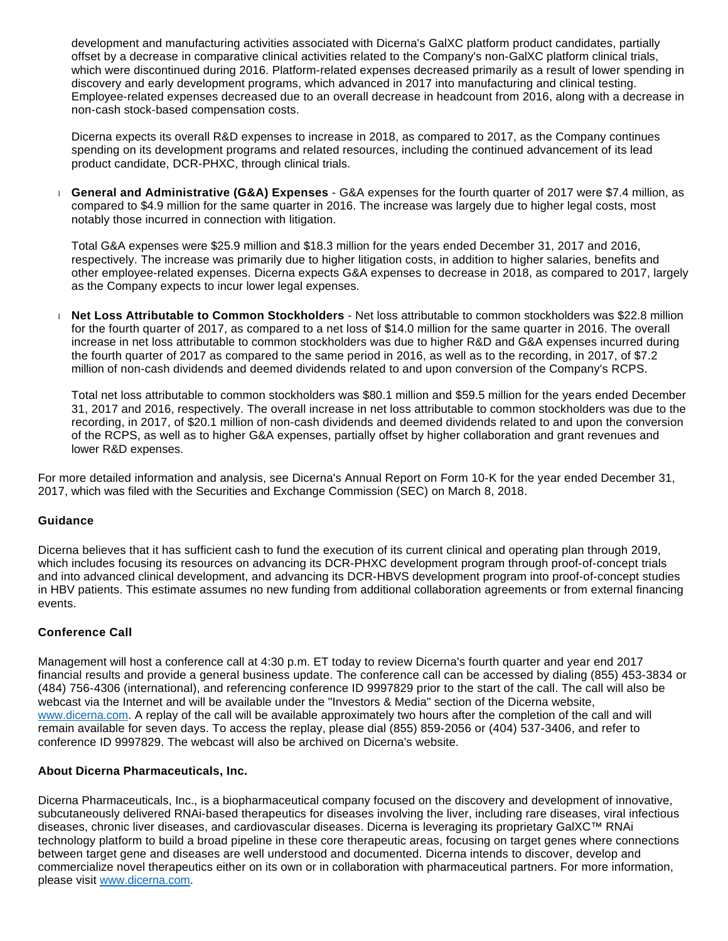development and manufacturing activities associated with Dicerna's GalXC platform product candidates, partially offset by a decrease in comparative clinical activities related to the Company's non-GalXC platform clinical trials, which were discontinued during 2016. Platform-related expenses decreased primarily as a result of lower spending in discovery and early development programs, which advanced in 2017 into manufacturing and clinical testing. Employee-related expenses decreased due to an overall decrease in headcount from 2016, along with a decrease in non-cash stock-based compensation costs.

Dicerna expects its overall R&D expenses to increase in 2018, as compared to 2017, as the Company continues spending on its development programs and related resources, including the continued advancement of its lead product candidate, DCR-PHXC, through clinical trials.

 **General and Administrative (G&A) Expenses** - G&A expenses for the fourth quarter of 2017 were \$7.4 million, as compared to \$4.9 million for the same quarter in 2016. The increase was largely due to higher legal costs, most notably those incurred in connection with litigation.

Total G&A expenses were \$25.9 million and \$18.3 million for the years ended December 31, 2017 and 2016, respectively. The increase was primarily due to higher litigation costs, in addition to higher salaries, benefits and other employee-related expenses. Dicerna expects G&A expenses to decrease in 2018, as compared to 2017, largely as the Company expects to incur lower legal expenses.

 **Net Loss Attributable to Common Stockholders** - Net loss attributable to common stockholders was \$22.8 million for the fourth quarter of 2017, as compared to a net loss of \$14.0 million for the same quarter in 2016. The overall increase in net loss attributable to common stockholders was due to higher R&D and G&A expenses incurred during the fourth quarter of 2017 as compared to the same period in 2016, as well as to the recording, in 2017, of \$7.2 million of non-cash dividends and deemed dividends related to and upon conversion of the Company's RCPS.

Total net loss attributable to common stockholders was \$80.1 million and \$59.5 million for the years ended December 31, 2017 and 2016, respectively. The overall increase in net loss attributable to common stockholders was due to the recording, in 2017, of \$20.1 million of non-cash dividends and deemed dividends related to and upon the conversion of the RCPS, as well as to higher G&A expenses, partially offset by higher collaboration and grant revenues and lower R&D expenses.

For more detailed information and analysis, see Dicerna's Annual Report on Form 10-K for the year ended December 31, 2017, which was filed with the Securities and Exchange Commission (SEC) on March 8, 2018.

#### **Guidance**

Dicerna believes that it has sufficient cash to fund the execution of its current clinical and operating plan through 2019, which includes focusing its resources on advancing its DCR-PHXC development program through proof-of-concept trials and into advanced clinical development, and advancing its DCR-HBVS development program into proof-of-concept studies in HBV patients. This estimate assumes no new funding from additional collaboration agreements or from external financing events.

## **Conference Call**

Management will host a conference call at 4:30 p.m. ET today to review Dicerna's fourth quarter and year end 2017 financial results and provide a general business update. The conference call can be accessed by dialing (855) 453-3834 or (484) 756-4306 (international), and referencing conference ID 9997829 prior to the start of the call. The call will also be webcast via the Internet and will be available under the "Investors & Media" section of the Dicerna website, [www.dicerna.com.](http://cts.businesswire.com/ct/CT?id=smartlink&url=http%3A%2F%2Fwww.dicerna.com&esheet=51770573&newsitemid=20180308006220&lan=en-US&anchor=www.dicerna.com&index=2&md5=802eaff1a484f403b265949ba399c57c) A replay of the call will be available approximately two hours after the completion of the call and will remain available for seven days. To access the replay, please dial (855) 859-2056 or (404) 537-3406, and refer to conference ID 9997829. The webcast will also be archived on Dicerna's website.

#### **About Dicerna Pharmaceuticals, Inc.**

Dicerna Pharmaceuticals, Inc., is a biopharmaceutical company focused on the discovery and development of innovative, subcutaneously delivered RNAi-based therapeutics for diseases involving the liver, including rare diseases, viral infectious diseases, chronic liver diseases, and cardiovascular diseases. Dicerna is leveraging its proprietary GalXC™ RNAi technology platform to build a broad pipeline in these core therapeutic areas, focusing on target genes where connections between target gene and diseases are well understood and documented. Dicerna intends to discover, develop and commercialize novel therapeutics either on its own or in collaboration with pharmaceutical partners. For more information, please visit [www.dicerna.com.](http://cts.businesswire.com/ct/CT?id=smartlink&url=http%3A%2F%2Fwww.dicerna.com&esheet=51770573&newsitemid=20180308006220&lan=en-US&anchor=www.dicerna.com&index=3&md5=2da68cb8f2712190b098aa7eff971bc3)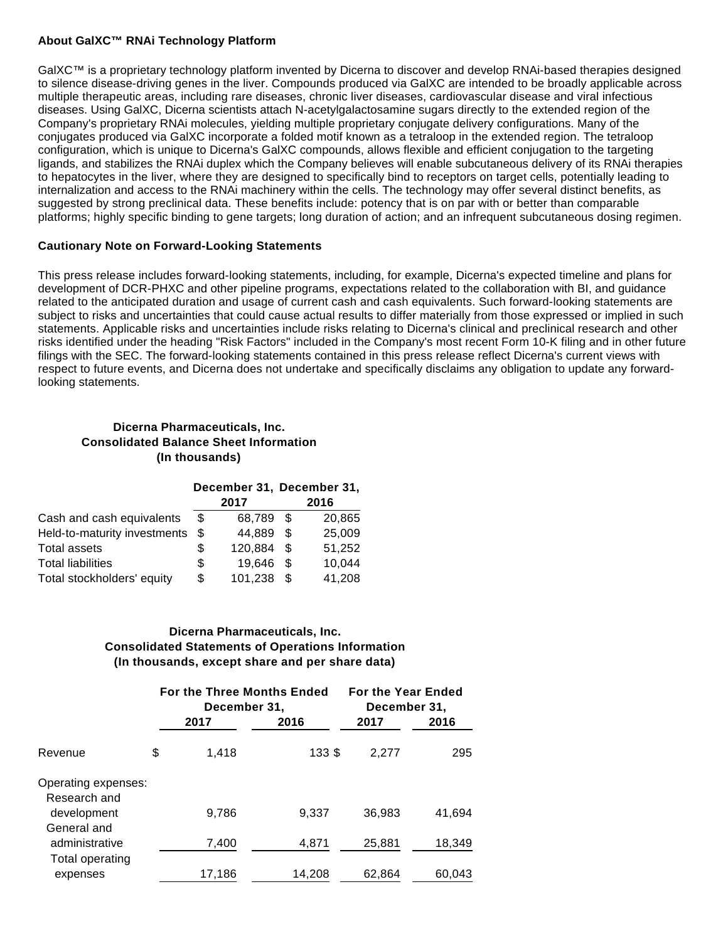### **About GalXC™ RNAi Technology Platform**

GalXC™ is a proprietary technology platform invented by Dicerna to discover and develop RNAi-based therapies designed to silence disease-driving genes in the liver. Compounds produced via GalXC are intended to be broadly applicable across multiple therapeutic areas, including rare diseases, chronic liver diseases, cardiovascular disease and viral infectious diseases. Using GalXC, Dicerna scientists attach N-acetylgalactosamine sugars directly to the extended region of the Company's proprietary RNAi molecules, yielding multiple proprietary conjugate delivery configurations. Many of the conjugates produced via GalXC incorporate a folded motif known as a tetraloop in the extended region. The tetraloop configuration, which is unique to Dicerna's GalXC compounds, allows flexible and efficient conjugation to the targeting ligands, and stabilizes the RNAi duplex which the Company believes will enable subcutaneous delivery of its RNAi therapies to hepatocytes in the liver, where they are designed to specifically bind to receptors on target cells, potentially leading to internalization and access to the RNAi machinery within the cells. The technology may offer several distinct benefits, as suggested by strong preclinical data. These benefits include: potency that is on par with or better than comparable platforms; highly specific binding to gene targets; long duration of action; and an infrequent subcutaneous dosing regimen.

## **Cautionary Note on Forward-Looking Statements**

This press release includes forward-looking statements, including, for example, Dicerna's expected timeline and plans for development of DCR-PHXC and other pipeline programs, expectations related to the collaboration with BI, and guidance related to the anticipated duration and usage of current cash and cash equivalents. Such forward-looking statements are subject to risks and uncertainties that could cause actual results to differ materially from those expressed or implied in such statements. Applicable risks and uncertainties include risks relating to Dicerna's clinical and preclinical research and other risks identified under the heading "Risk Factors" included in the Company's most recent Form 10-K filing and in other future filings with the SEC. The forward-looking statements contained in this press release reflect Dicerna's current views with respect to future events, and Dicerna does not undertake and specifically disclaims any obligation to update any forwardlooking statements.

## **Dicerna Pharmaceuticals, Inc. Consolidated Balance Sheet Information (In thousands)**

|                              |    | December 31, December 31, |      |        |  |
|------------------------------|----|---------------------------|------|--------|--|
|                              |    | 2017                      | 2016 |        |  |
| Cash and cash equivalents    | S  | 68.789                    | - \$ | 20,865 |  |
| Held-to-maturity investments | -S | 44,889                    | -S   | 25,009 |  |
| <b>Total assets</b>          | \$ | 120,884                   | -S   | 51,252 |  |
| <b>Total liabilities</b>     | S  | 19,646                    | \$.  | 10,044 |  |
| Total stockholders' equity   | \$ | 101,238                   | \$.  | 41,208 |  |

# **Dicerna Pharmaceuticals, Inc. Consolidated Statements of Operations Information (In thousands, except share and per share data)**

|                                     | December 31, | <b>For the Three Months Ended</b> | For the Year Ended<br>December 31, |        |  |
|-------------------------------------|--------------|-----------------------------------|------------------------------------|--------|--|
|                                     | 2017         | 2016                              | 2017                               | 2016   |  |
| Revenue                             | \$<br>1,418  | 133S                              | 2,277                              | 295    |  |
| Operating expenses:<br>Research and |              |                                   |                                    |        |  |
| development<br>General and          | 9.786        | 9.337                             | 36.983                             | 41.694 |  |
| administrative<br>Total operating   | 7,400        | 4,871                             | 25,881                             | 18,349 |  |
| expenses                            | 17,186       | 14,208                            | 62,864                             | 60,043 |  |